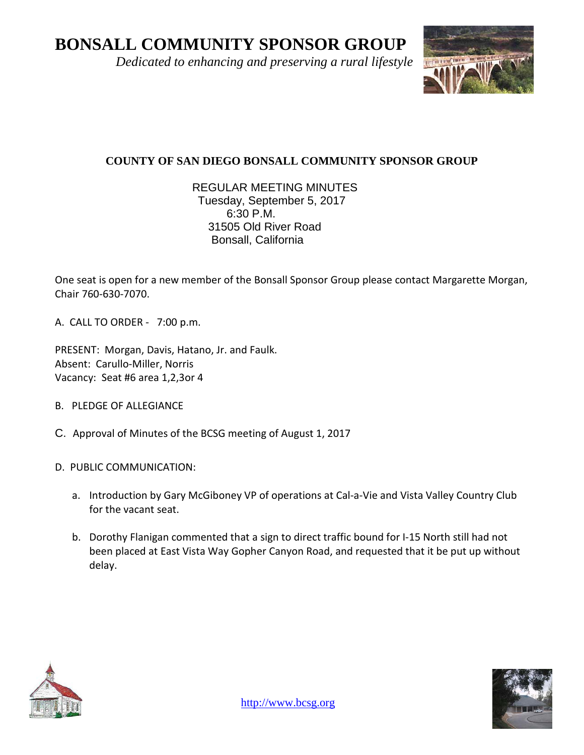**BONSALL COMMUNITY SPONSOR GROUP**

 *Dedicated to enhancing and preserving a rural lifestyle*



## **COUNTY OF SAN DIEGO BONSALL COMMUNITY SPONSOR GROUP**

## REGULAR MEETING MINUTES Tuesday, September 5, 2017 6:30 P.M. 31505 Old River Road Bonsall, California

One seat is open for a new member of the Bonsall Sponsor Group please contact Margarette Morgan, Chair 760-630-7070.

A. CALL TO ORDER - 7:00 p.m.

PRESENT: Morgan, Davis, Hatano, Jr. and Faulk. Absent: Carullo-Miller, Norris Vacancy: Seat #6 area 1,2,3or 4

- B. PLEDGE OF ALLEGIANCE
- C. Approval of Minutes of the BCSG meeting of August 1, 2017
- D. PUBLIC COMMUNICATION:
	- a. Introduction by Gary McGiboney VP of operations at Cal-a-Vie and Vista Valley Country Club for the vacant seat.
	- b. Dorothy Flanigan commented that a sign to direct traffic bound for I-15 North still had not been placed at East Vista Way Gopher Canyon Road, and requested that it be put up without delay.